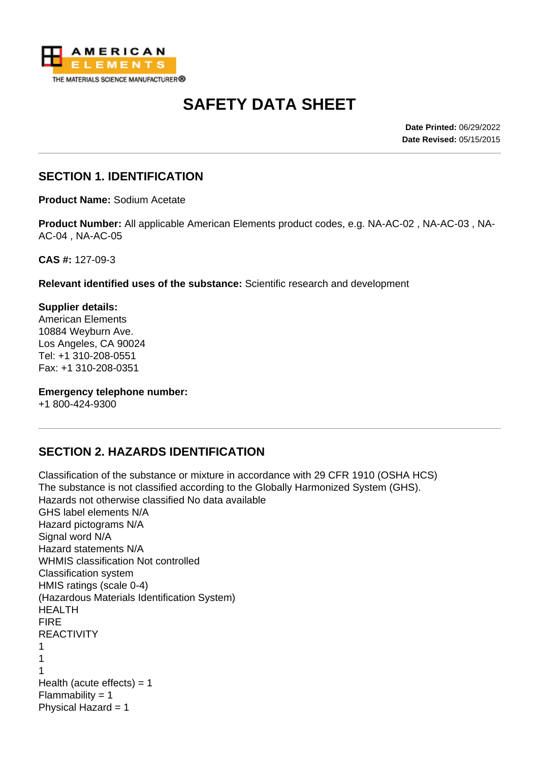

# **SAFETY DATA SHEET**

**Date Printed:** 06/29/2022 **Date Revised:** 05/15/2015

#### **SECTION 1. IDENTIFICATION**

**Product Name:** Sodium Acetate

**Product Number:** All applicable American Elements product codes, e.g. NA-AC-02 , NA-AC-03 , NA-AC-04 , NA-AC-05

**CAS #:** 127-09-3

**Relevant identified uses of the substance:** Scientific research and development

**Supplier details:** American Elements 10884 Weyburn Ave. Los Angeles, CA 90024 Tel: +1 310-208-0551 Fax: +1 310-208-0351

**Emergency telephone number:**

+1 800-424-9300

#### **SECTION 2. HAZARDS IDENTIFICATION**

Classification of the substance or mixture in accordance with 29 CFR 1910 (OSHA HCS) The substance is not classified according to the Globally Harmonized System (GHS). Hazards not otherwise classified No data available GHS label elements N/A Hazard pictograms N/A Signal word N/A Hazard statements N/A WHMIS classification Not controlled Classification system HMIS ratings (scale 0-4) (Hazardous Materials Identification System) HEALTH FIRE REACTIVITY 1 1 1 Health (acute effects)  $= 1$ Flammability  $= 1$ Physical Hazard = 1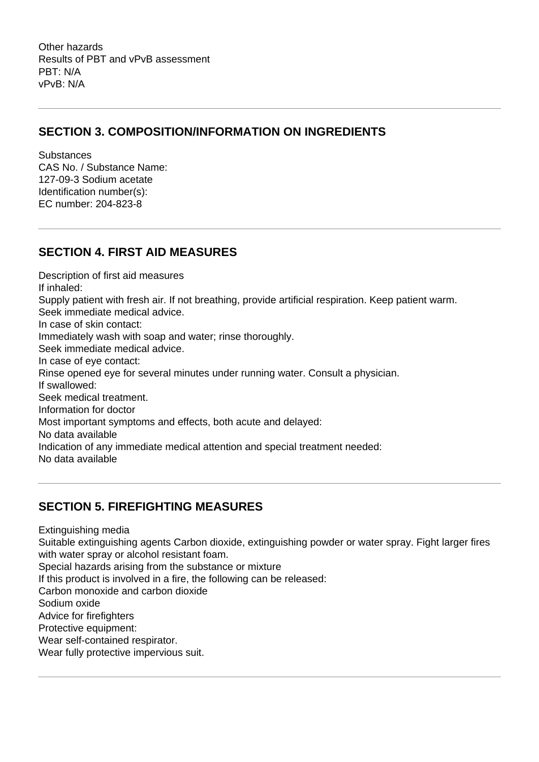Other hazards Results of PBT and vPvB assessment PBT: N/A vPvB: N/A

#### **SECTION 3. COMPOSITION/INFORMATION ON INGREDIENTS**

**Substances** CAS No. / Substance Name: 127-09-3 Sodium acetate Identification number(s): EC number: 204-823-8

#### **SECTION 4. FIRST AID MEASURES**

Description of first aid measures If inhaled: Supply patient with fresh air. If not breathing, provide artificial respiration. Keep patient warm. Seek immediate medical advice. In case of skin contact: Immediately wash with soap and water; rinse thoroughly. Seek immediate medical advice. In case of eye contact: Rinse opened eye for several minutes under running water. Consult a physician. If swallowed: Seek medical treatment. Information for doctor Most important symptoms and effects, both acute and delayed: No data available Indication of any immediate medical attention and special treatment needed: No data available

## **SECTION 5. FIREFIGHTING MEASURES**

Extinguishing media

Suitable extinguishing agents Carbon dioxide, extinguishing powder or water spray. Fight larger fires with water spray or alcohol resistant foam.

Special hazards arising from the substance or mixture

If this product is involved in a fire, the following can be released:

Carbon monoxide and carbon dioxide

Sodium oxide

Advice for firefighters

Protective equipment:

Wear self-contained respirator.

Wear fully protective impervious suit.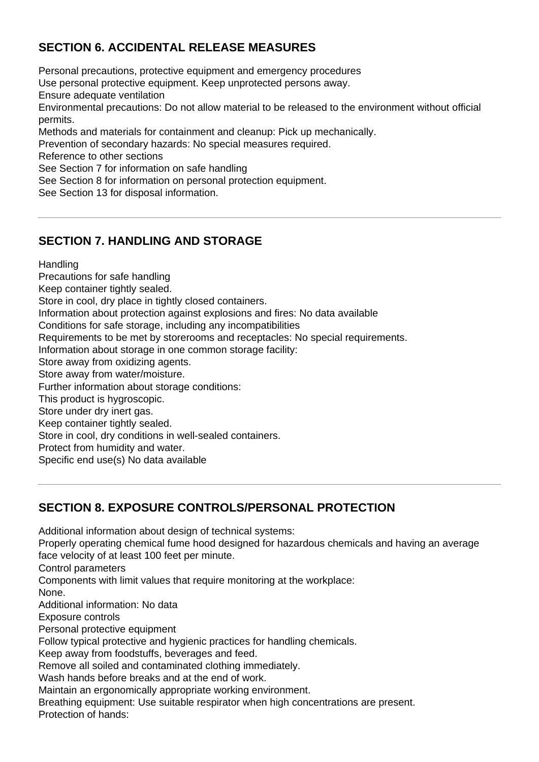# **SECTION 6. ACCIDENTAL RELEASE MEASURES**

Personal precautions, protective equipment and emergency procedures Use personal protective equipment. Keep unprotected persons away. Ensure adequate ventilation Environmental precautions: Do not allow material to be released to the environment without official permits. Methods and materials for containment and cleanup: Pick up mechanically. Prevention of secondary hazards: No special measures required. Reference to other sections See Section 7 for information on safe handling See Section 8 for information on personal protection equipment. See Section 13 for disposal information.

## **SECTION 7. HANDLING AND STORAGE**

**Handling** 

Precautions for safe handling Keep container tightly sealed. Store in cool, dry place in tightly closed containers. Information about protection against explosions and fires: No data available Conditions for safe storage, including any incompatibilities Requirements to be met by storerooms and receptacles: No special requirements. Information about storage in one common storage facility: Store away from oxidizing agents. Store away from water/moisture. Further information about storage conditions: This product is hygroscopic. Store under dry inert gas. Keep container tightly sealed. Store in cool, dry conditions in well-sealed containers. Protect from humidity and water. Specific end use(s) No data available

## **SECTION 8. EXPOSURE CONTROLS/PERSONAL PROTECTION**

Additional information about design of technical systems:

Properly operating chemical fume hood designed for hazardous chemicals and having an average face velocity of at least 100 feet per minute.

Control parameters

Components with limit values that require monitoring at the workplace:

None.

Additional information: No data

Exposure controls

Personal protective equipment

Follow typical protective and hygienic practices for handling chemicals.

Keep away from foodstuffs, beverages and feed.

Remove all soiled and contaminated clothing immediately.

Wash hands before breaks and at the end of work.

Maintain an ergonomically appropriate working environment.

Breathing equipment: Use suitable respirator when high concentrations are present. Protection of hands: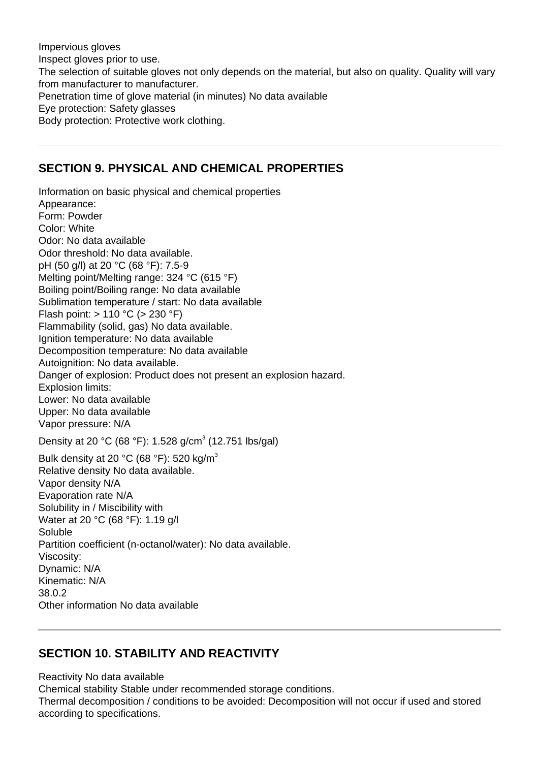Impervious gloves Inspect gloves prior to use. The selection of suitable gloves not only depends on the material, but also on quality. Quality will vary from manufacturer to manufacturer. Penetration time of glove material (in minutes) No data available Eye protection: Safety glasses Body protection: Protective work clothing.

#### **SECTION 9. PHYSICAL AND CHEMICAL PROPERTIES**

Information on basic physical and chemical properties Appearance: Form: Powder Color: White Odor: No data available Odor threshold: No data available. pH (50 g/l) at 20 °C (68 °F): 7.5-9 Melting point/Melting range: 324 °C (615 °F) Boiling point/Boiling range: No data available Sublimation temperature / start: No data available Flash point: > 110 °C (> 230 °F) Flammability (solid, gas) No data available. Ignition temperature: No data available Decomposition temperature: No data available Autoignition: No data available. Danger of explosion: Product does not present an explosion hazard. Explosion limits: Lower: No data available Upper: No data available Vapor pressure: N/A Density at 20 °C (68 °F): 1.528 g/cm<sup>3</sup> (12.751 lbs/gal) Bulk density at 20  $^{\circ}$ C (68  $^{\circ}$ F): 520 kg/m<sup>3</sup>

Relative density No data available. Vapor density N/A Evaporation rate N/A Solubility in / Miscibility with Water at 20 °C (68 °F): 1.19 g/l Soluble Partition coefficient (n-octanol/water): No data available. Viscosity: Dynamic: N/A Kinematic: N/A 38.0.2 Other information No data available

## **SECTION 10. STABILITY AND REACTIVITY**

Reactivity No data available Chemical stability Stable under recommended storage conditions. Thermal decomposition / conditions to be avoided: Decomposition will not occur if used and stored according to specifications.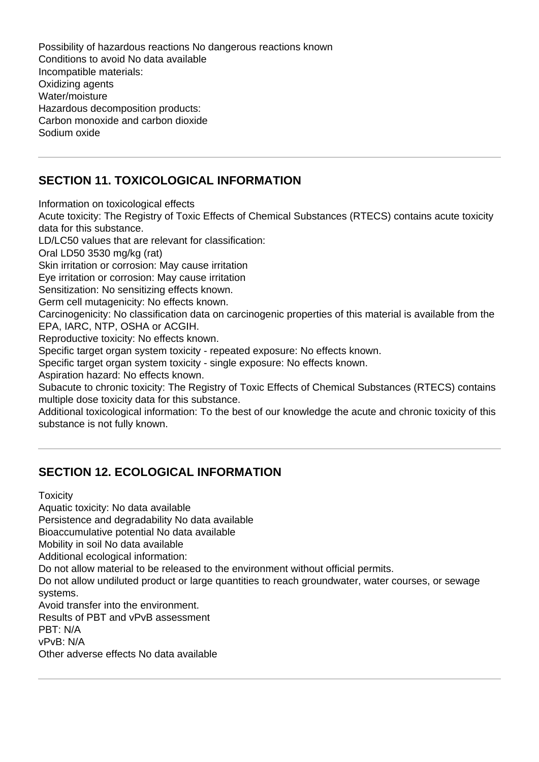Possibility of hazardous reactions No dangerous reactions known Conditions to avoid No data available Incompatible materials: Oxidizing agents Water/moisture Hazardous decomposition products: Carbon monoxide and carbon dioxide Sodium oxide

# **SECTION 11. TOXICOLOGICAL INFORMATION**

Information on toxicological effects Acute toxicity: The Registry of Toxic Effects of Chemical Substances (RTECS) contains acute toxicity data for this substance. LD/LC50 values that are relevant for classification: Oral LD50 3530 mg/kg (rat) Skin irritation or corrosion: May cause irritation Eye irritation or corrosion: May cause irritation Sensitization: No sensitizing effects known. Germ cell mutagenicity: No effects known. Carcinogenicity: No classification data on carcinogenic properties of this material is available from the EPA, IARC, NTP, OSHA or ACGIH. Reproductive toxicity: No effects known. Specific target organ system toxicity - repeated exposure: No effects known. Specific target organ system toxicity - single exposure: No effects known. Aspiration hazard: No effects known. Subacute to chronic toxicity: The Registry of Toxic Effects of Chemical Substances (RTECS) contains multiple dose toxicity data for this substance. Additional toxicological information: To the best of our knowledge the acute and chronic toxicity of this

substance is not fully known.

## **SECTION 12. ECOLOGICAL INFORMATION**

**Toxicity** 

Aquatic toxicity: No data available

Persistence and degradability No data available

Bioaccumulative potential No data available

Mobility in soil No data available

Additional ecological information:

Do not allow material to be released to the environment without official permits.

Do not allow undiluted product or large quantities to reach groundwater, water courses, or sewage systems.

Avoid transfer into the environment.

Results of PBT and vPvB assessment

PBT: N/A

vPvB: N/A

Other adverse effects No data available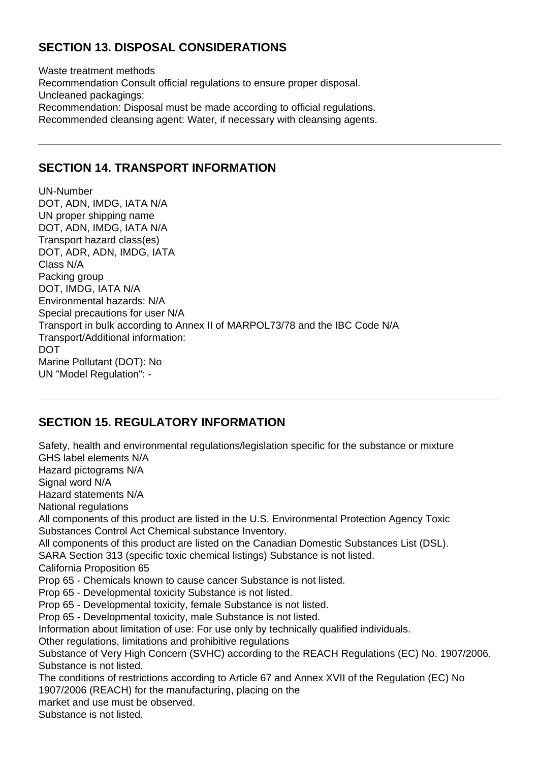# **SECTION 13. DISPOSAL CONSIDERATIONS**

Waste treatment methods Recommendation Consult official regulations to ensure proper disposal. Uncleaned packagings: Recommendation: Disposal must be made according to official regulations. Recommended cleansing agent: Water, if necessary with cleansing agents.

#### **SECTION 14. TRANSPORT INFORMATION**

UN-Number DOT, ADN, IMDG, IATA N/A UN proper shipping name DOT, ADN, IMDG, IATA N/A Transport hazard class(es) DOT, ADR, ADN, IMDG, IATA Class N/A Packing group DOT, IMDG, IATA N/A Environmental hazards: N/A Special precautions for user N/A Transport in bulk according to Annex II of MARPOL73/78 and the IBC Code N/A Transport/Additional information: DOT Marine Pollutant (DOT): No UN "Model Regulation": -

#### **SECTION 15. REGULATORY INFORMATION**

Safety, health and environmental regulations/legislation specific for the substance or mixture GHS label elements N/A Hazard pictograms N/A Signal word N/A Hazard statements N/A National regulations All components of this product are listed in the U.S. Environmental Protection Agency Toxic Substances Control Act Chemical substance Inventory. All components of this product are listed on the Canadian Domestic Substances List (DSL). SARA Section 313 (specific toxic chemical listings) Substance is not listed. California Proposition 65 Prop 65 - Chemicals known to cause cancer Substance is not listed. Prop 65 - Developmental toxicity Substance is not listed. Prop 65 - Developmental toxicity, female Substance is not listed. Prop 65 - Developmental toxicity, male Substance is not listed. Information about limitation of use: For use only by technically qualified individuals. Other regulations, limitations and prohibitive regulations Substance of Very High Concern (SVHC) according to the REACH Regulations (EC) No. 1907/2006. Substance is not listed. The conditions of restrictions according to Article 67 and Annex XVII of the Regulation (EC) No 1907/2006 (REACH) for the manufacturing, placing on the market and use must be observed.

Substance is not listed.